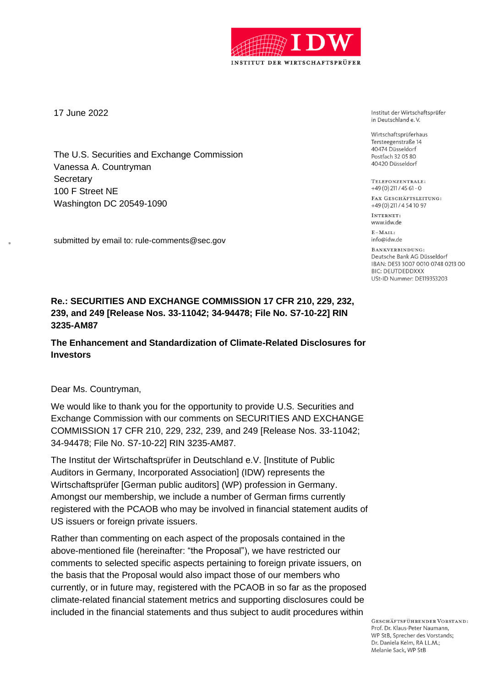

17 June 2022

The U.S. Securities and Exchange Commission Vanessa A. Countryman **Secretary** 100 F Street NE Washington DC 20549-1090

submitted by email to: rule-comments@sec.gov

Institut der Wirtschaftsprüfer in Deutschland e.V.

Wirtschaftsprüferhaus Tersteegenstraße 14 40474 Düsseldorf Postfach 32 05 80 40420 Düsseldorf

TELEFONZENTRALE:  $+49(0)$  211 / 45 61 - 0

FAX GESCHÄFTSLEITUNG: +49 (0) 211 / 4 54 10 97

INTERNET: www.idw.de

 $E-MAIT$ info@idw.de

BANKVERBINDUNG: Deutsche Bank AG Düsseldorf IBAN: DE53 3007 0010 0748 0213 00 **BIC: DEUTDEDDXXX USt-ID Nummer: DE119353203** 

# **Re.: SECURITIES AND EXCHANGE COMMISSION 17 CFR 210, 229, 232, 239, and 249 [Release Nos. 33-11042; 34-94478; File No. S7-10-22] RIN 3235-AM87**

## **The Enhancement and Standardization of Climate-Related Disclosures for Investors**

Dear Ms. Countryman,

We would like to thank you for the opportunity to provide U.S. Securities and Exchange Commission with our comments on SECURITIES AND EXCHANGE COMMISSION 17 CFR 210, 229, 232, 239, and 249 [Release Nos. 33-11042; 34-94478; File No. S7-10-22] RIN 3235-AM87.

The Institut der Wirtschaftsprüfer in Deutschland e.V. [Institute of Public Auditors in Germany, Incorporated Association] (IDW) represents the Wirtschaftsprüfer [German public auditors] (WP) profession in Germany. Amongst our membership, we include a number of German firms currently registered with the PCAOB who may be involved in financial statement audits of US issuers or foreign private issuers.

Rather than commenting on each aspect of the proposals contained in the above-mentioned file (hereinafter: "the Proposal"), we have restricted our comments to selected specific aspects pertaining to foreign private issuers, on the basis that the Proposal would also impact those of our members who currently, or in future may, registered with the PCAOB in so far as the proposed climate-related financial statement metrics and supporting disclosures could be included in the financial statements and thus subject to audit procedures within

> GESCHÄFTSFÜHRENDER VORSTAND: Prof. Dr. Klaus-Peter Naumann. WP StB, Sprecher des Vorstands; Dr. Daniela Kelm, RA LL.M.: Melanie Sack, WP StB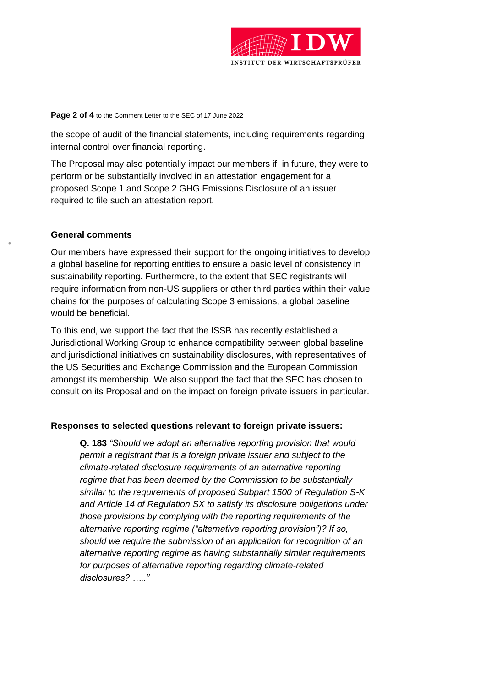

#### **Page 2 of 4** to the Comment Letter to the SEC of 17 June 2022

the scope of audit of the financial statements, including requirements regarding internal control over financial reporting.

The Proposal may also potentially impact our members if, in future, they were to perform or be substantially involved in an attestation engagement for a proposed Scope 1 and Scope 2 GHG Emissions Disclosure of an issuer required to file such an attestation report.

### **General comments**

Our members have expressed their support for the ongoing initiatives to develop a global baseline for reporting entities to ensure a basic level of consistency in sustainability reporting. Furthermore, to the extent that SEC registrants will require information from non-US suppliers or other third parties within their value chains for the purposes of calculating Scope 3 emissions, a global baseline would be beneficial.

To this end, we support the fact that the ISSB has recently established a Jurisdictional Working Group to enhance compatibility between global baseline and jurisdictional initiatives on sustainability disclosures, with representatives of the US Securities and Exchange Commission and the European Commission amongst its membership. We also support the fact that the SEC has chosen to consult on its Proposal and on the impact on foreign private issuers in particular.

## **Responses to selected questions relevant to foreign private issuers:**

**Q. 183** *"Should we adopt an alternative reporting provision that would permit a registrant that is a foreign private issuer and subject to the climate-related disclosure requirements of an alternative reporting regime that has been deemed by the Commission to be substantially similar to the requirements of proposed Subpart 1500 of Regulation S-K and Article 14 of Regulation SX to satisfy its disclosure obligations under those provisions by complying with the reporting requirements of the alternative reporting regime ("alternative reporting provision")? If so, should we require the submission of an application for recognition of an alternative reporting regime as having substantially similar requirements for purposes of alternative reporting regarding climate-related disclosures? ….."*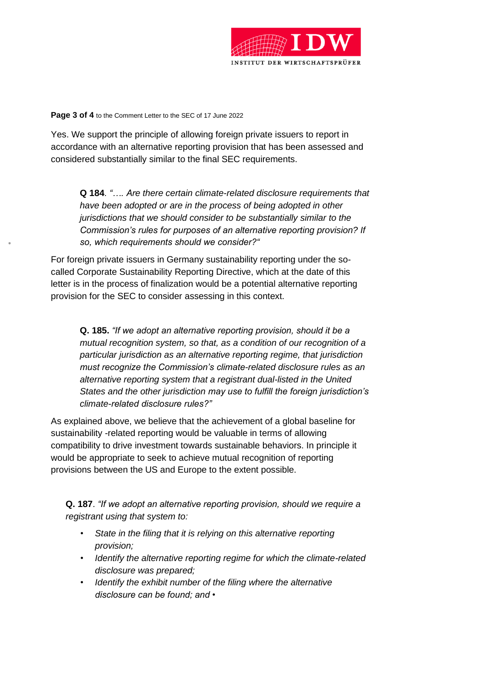

#### **Page 3 of 4** to the Comment Letter to the SEC of 17 June 2022

Yes. We support the principle of allowing foreign private issuers to report in accordance with an alternative reporting provision that has been assessed and considered substantially similar to the final SEC requirements.

**Q 184**. *"…. Are there certain climate-related disclosure requirements that have been adopted or are in the process of being adopted in other jurisdictions that we should consider to be substantially similar to the Commission's rules for purposes of an alternative reporting provision? If so, which requirements should we consider?"*

For foreign private issuers in Germany sustainability reporting under the socalled Corporate Sustainability Reporting Directive, which at the date of this letter is in the process of finalization would be a potential alternative reporting provision for the SEC to consider assessing in this context.

**Q. 185.** *"If we adopt an alternative reporting provision, should it be a mutual recognition system, so that, as a condition of our recognition of a particular jurisdiction as an alternative reporting regime, that jurisdiction must recognize the Commission's climate-related disclosure rules as an alternative reporting system that a registrant dual-listed in the United States and the other jurisdiction may use to fulfill the foreign jurisdiction's climate-related disclosure rules?"*

As explained above, we believe that the achievement of a global baseline for sustainability -related reporting would be valuable in terms of allowing compatibility to drive investment towards sustainable behaviors. In principle it would be appropriate to seek to achieve mutual recognition of reporting provisions between the US and Europe to the extent possible.

**Q. 187**. *"If we adopt an alternative reporting provision, should we require a registrant using that system to:* 

- *State in the filing that it is relying on this alternative reporting provision;*
- *Identify the alternative reporting regime for which the climate-related disclosure was prepared;*
- *Identify the exhibit number of the filing where the alternative disclosure can be found; and •*